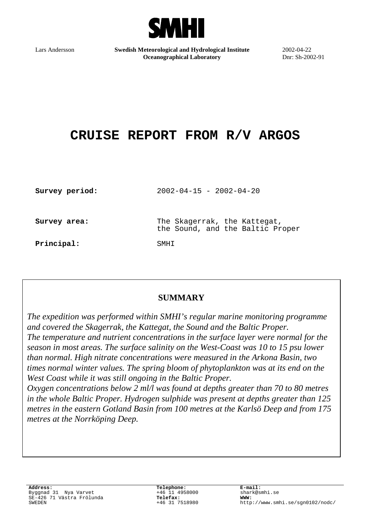

Lars Andersson **Swedish Meteorological and Hydrological Institute Oceanographical Laboratory**

2002-04-22 Dnr: Sh-2002-91

# **CRUISE REPORT FROM R/V ARGOS**

| Survey period: | $2002 - 04 - 15 - 2002 - 04 - 20$                                |
|----------------|------------------------------------------------------------------|
| Survey area:   | The Skagerrak, the Kattegat,<br>the Sound, and the Baltic Proper |
| Principal:     | SMHT                                                             |

## **SUMMARY**

*The expedition was performed within SMHI's regular marine monitoring programme and covered the Skagerrak, the Kattegat, the Sound and the Baltic Proper. The temperature and nutrient concentrations in the surface layer were normal for the season in most areas. The surface salinity on the West-Coast was 10 to 15 psu lower than normal. High nitrate concentrations were measured in the Arkona Basin, two times normal winter values. The spring bloom of phytoplankton was at its end on the West Coast while it was still ongoing in the Baltic Proper.*

*Oxygen concentrations below 2 ml/l was found at depths greater than 70 to 80 metres in the whole Baltic Proper. Hydrogen sulphide was present at depths greater than 125 metres in the eastern Gotland Basin from 100 metres at the Karlsö Deep and from 175 metres at the Norrköping Deep.*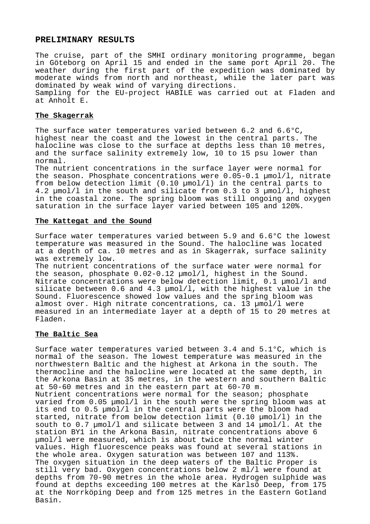#### **PRELIMINARY RESULTS**

The cruise, part of the SMHI ordinary monitoring programme, began in Göteborg on April 15 and ended in the same port April 20. The weather during the first part of the expedition was dominated by moderate winds from north and northeast, while the later part was dominated by weak wind of varying directions. Sampling for the EU-project HABILE was carried out at Fladen and at Anholt E.

#### **The Skagerrak**

The surface water temperatures varied between 6.2 and 6.6°C, highest near the coast and the lowest in the central parts. The halocline was close to the surface at depths less than 10 metres, and the surface salinity extremely low, 10 to 15 psu lower than normal.

The nutrient concentrations in the surface layer were normal for the season. Phosphate concentrations were 0.05-0.1 µmol/l, nitrate from below detection limit (0.10 µmol/l) in the central parts to 4.2 µmol/l in the south and silicate from 0.3 to 3 µmol/l, highest in the coastal zone. The spring bloom was still ongoing and oxygen saturation in the surface layer varied between 105 and 120%.

#### **The Kattegat and the Sound**

Surface water temperatures varied between 5.9 and 6.6°C the lowest temperature was measured in the Sound. The halocline was located at a depth of ca. 10 metres and as in Skagerrak, surface salinity was extremely low.

The nutrient concentrations of the surface water were normal for the season, phosphate 0.02-0.12 µmol/l, highest in the Sound. Nitrate concentrations were below detection limit, 0.1 µmol/l and silicate between 0.6 and 4.3 µmol/l, with the highest value in the Sound. Fluorescence showed low values and the spring bloom was almost over. High nitrate concentrations, ca. 13 µmol/l were measured in an intermediate layer at a depth of 15 to 20 metres at Fladen.

#### **The Baltic Sea**

Surface water temperatures varied between 3.4 and 5.1°C, which is normal of the season. The lowest temperature was measured in the northwestern Baltic and the highest at Arkona in the south. The thermocline and the halocline were located at the same depth, in the Arkona Basin at 35 metres, in the western and southern Baltic at 50-60 metres and in the eastern part at 60-70 m. Nutrient concentrations were normal for the season; phosphate varied from 0.05 µmol/l in the south were the spring bloom was at its end to 0.5 µmol/l in the central parts were the bloom had started, nitrate from below detection limit (0.10 µmol/l) in the south to 0.7 µmol/l and silicate between 3 and 14 µmol/l. At the station BY1 in the Arkona Basin, nitrate concentrations above 6 µmol/l were measured, which is about twice the normal winter values. High fluorescence peaks was found at several stations in the whole area. Oxygen saturation was between 107 and 113%. The oxygen situation in the deep waters of the Baltic Proper is still very bad. Oxygen concentrations below 2 ml/l were found at depths from 70-90 metres in the whole area. Hydrogen sulphide was found at depths exceeding 100 metres at the Karlsö Deep, from 175 at the Norrköping Deep and from 125 metres in the Eastern Gotland Basin.